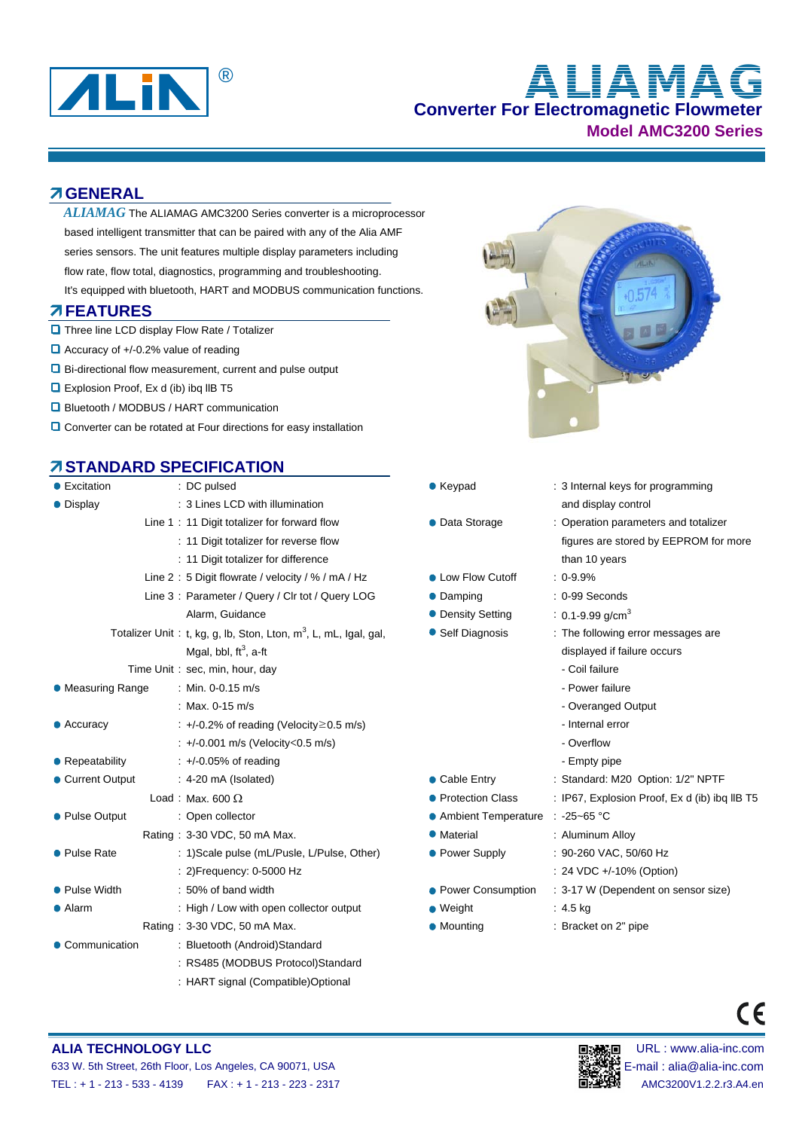

# **Converter For Electromagnetic Flowmeter** ® **ALIAMAG**

**Model AMC3200 Series**

#### **GENERAL**

- $ALIAMAG$  The ALIAMAG AMC3200 Series converter is a microprocessor based intelligent transmitter that can be paired with any of the Alia AMF series sensors. The unit features multiple display parameters including flow rate, flow total, diagnostics, programming and troubleshooting.
- It's equipped with bluetooth, HART and MODBUS communication functions.

#### **FEATURES**

- **D** Three line LCD display Flow Rate / Totalizer
- $\Box$  Accuracy of +/-0.2% value of reading
- Bi-directional flow measurement, current and pulse output
- **Explosion Proof, Ex d (ib) ibq IIB T5**
- **Q** Bluetooth / MODBUS / HART communication
- Converter can be rotated at Four directions for easy installation

### **STANDARD SPECIFICATION**

| $\bullet$ Excitation | : DC pulsed                                                         | • Keypad                          | : 3 Internal keys   |  |
|----------------------|---------------------------------------------------------------------|-----------------------------------|---------------------|--|
| • Display            | : 3 Lines LCD with illumination                                     |                                   | and display co      |  |
|                      | Line 1: 11 Digit totalizer for forward flow                         | • Data Storage                    | : Operation para    |  |
|                      | : 11 Digit totalizer for reverse flow                               |                                   | figures are sto     |  |
|                      | : 11 Digit totalizer for difference                                 |                                   |                     |  |
|                      | Line 2: 5 Digit flowrate / velocity / % / mA / Hz                   | • Low Flow Cutoff                 | $: 0 - 9.9%$        |  |
|                      | Line 3: Parameter / Query / Clr tot / Query LOG                     | • Damping                         | : 0-99 Seconds      |  |
|                      | Alarm, Guidance                                                     | • Density Setting                 | $: 0.1 - 9.99$ g/cm |  |
|                      | Totalizer Unit: t, kg, g, lb, Ston, Lton, $m^3$ , L, mL, Igal, gal, | • Self Diagnosis                  | $:$ The following   |  |
|                      | Mgal, bbl, ft <sup>3</sup> , a-ft                                   |                                   | displayed if fai    |  |
|                      | Time Unit: sec, min, hour, day                                      |                                   | - Coil failure      |  |
| • Measuring Range    | : Min. 0-0.15 m/s                                                   |                                   | - Power failure     |  |
|                      | : Max. $0-15$ m/s                                                   |                                   | - Overanged C       |  |
| $\bullet$ Accuracy   | : $+/-0.2\%$ of reading (Velocity $\geq$ 0.5 m/s)                   |                                   | - Internal error    |  |
|                      | : +/-0.001 m/s (Velocity < 0.5 m/s)                                 |                                   | - Overflow          |  |
| • Repeatability      | $\div$ +/-0.05% of reading                                          |                                   | - Empty pipe        |  |
| • Current Output     | $: 4-20 \text{ mA}$ (Isolated)                                      | • Cable Entry                     | : Standard: M20     |  |
|                      | Load: Max. 600 $\Omega$                                             | • Protection Class                | : IP67, Explosic    |  |
| • Pulse Output       | : Open collector                                                    | ● Ambient Temperature : -25~65 °C |                     |  |
|                      | Rating: 3-30 VDC, 50 mA Max.                                        | • Material                        | : Aluminum Allo     |  |
| • Pulse Rate         | : 1) Scale pulse (mL/Pusle, L/Pulse, Other)                         | • Power Supply                    | : 90-260 VAC, 5     |  |
|                      | : 2) Frequency: 0-5000 Hz                                           |                                   | : 24 VDC +/-10      |  |
| • Pulse Width        | : 50% of band width                                                 | • Power Consumption               | : 3-17 W (Depe      |  |
| • Alarm              | : High / Low with open collector output                             | $\bullet$ Weight                  | $: 4.5$ kg          |  |
|                      | Rating: 3-30 VDC, 50 mA Max.                                        | • Mounting                        | : Bracket on 2"     |  |
| • Communication      | : Bluetooth (Android)Standard                                       |                                   |                     |  |
|                      | : RS485 (MODBUS Protocol)Standard                                   |                                   |                     |  |
|                      | : HART signal (Compatible)Optional                                  |                                   |                     |  |



- Keypad : 3 Internal keys for programming and display control
- Data Storage : 0 : Operation parameters and totalizer figures are stored by EEPROM for more than 10 years
- Low Flow Cutoff  $\sim$  : 0-9.9%
- Damping : 0-99 Seconds
- Density Setting  $\qquad \qquad : \text{ 0.1-9.99 g/cm}^3$
- Self Diagnosis : The following error messages are displayed if failure occurs
	-
	- Power failure
	- Overanged Output
	-
	-
	-
- Cable Entry : Standard: M20 Option: 1/2" NPTF
- Protection Class : IP67, Explosion Proof, Ex d (ib) ibq IIB T5
- Ambient Temperature : -25~65 °C
- Material : 3-30 Material : 3-30 Material : Aluminum Alloy
- Power Supply : 90-260 VAC, 50/60 Hz
- : 24 VDC +/-10% (Option) Power Consumption : 3-17 W (Dependent on sensor size)
	-
- - Mounting : 3-30 Mounting : 3-30 Mounting : Bracket on 2" pipe

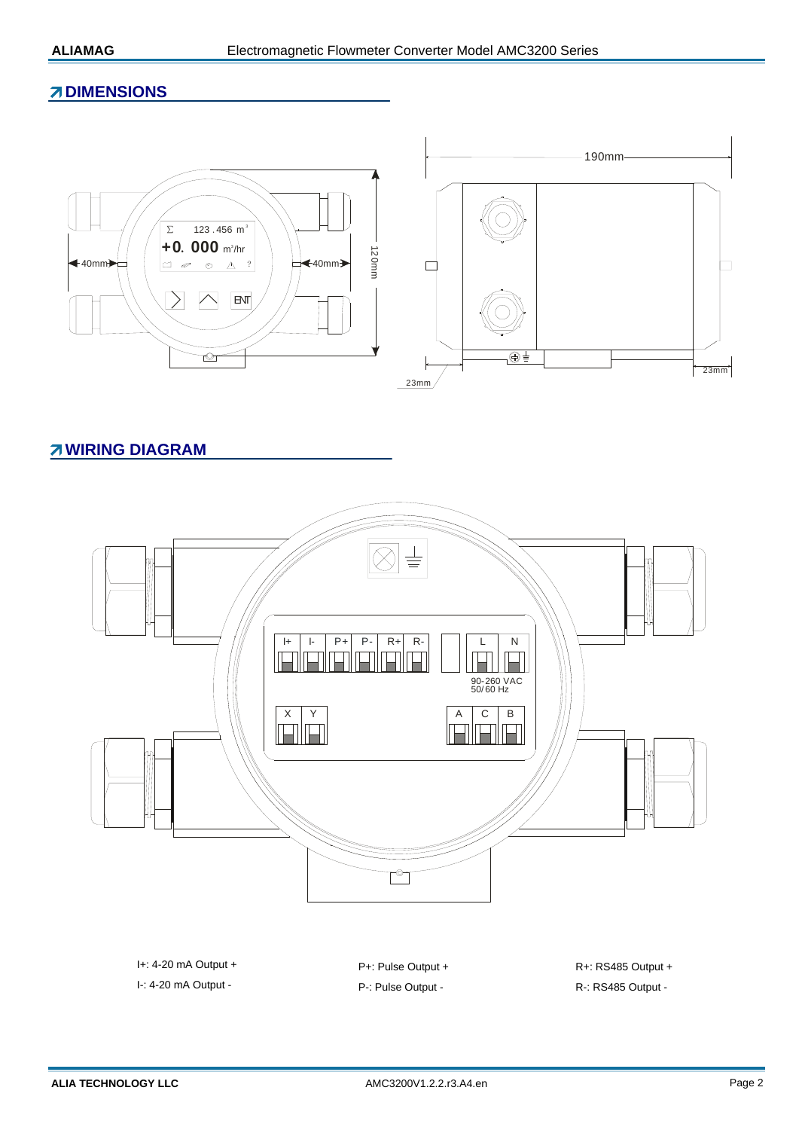#### **ZDIMENSIONS**



#### **WIRING DIAGRAM**



I+: 4-20 mA Output + P+: Pulse Output + R+: RS485 Output +

I-: 4-20 mA Output - P-: Pulse Output - R-: RS485 Output -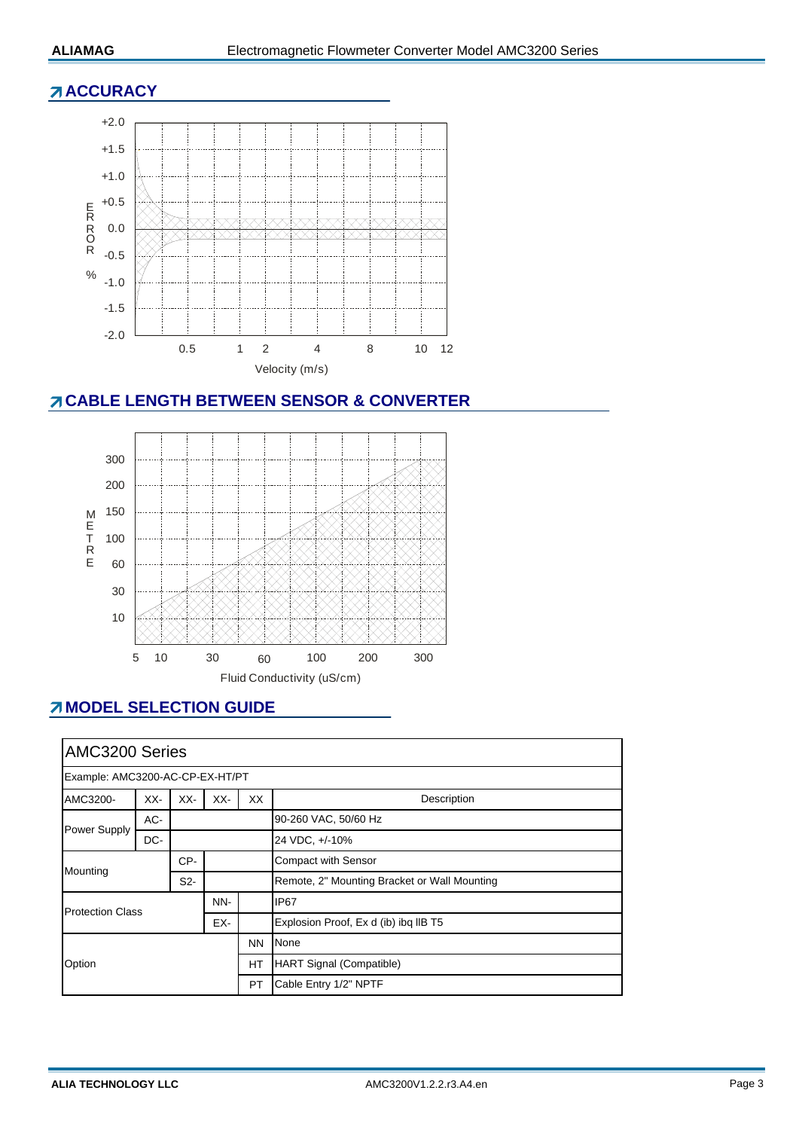#### **ACCURACY**



#### **CABLE LENGTH BETWEEN SENSOR & CONVERTER**



### **MODEL SELECTION GUIDE**

| AMC3200 Series                        |     |                  |                                       |           |                                              |  |  |
|---------------------------------------|-----|------------------|---------------------------------------|-----------|----------------------------------------------|--|--|
| Example: AMC3200-AC-CP-EX-HT/PT       |     |                  |                                       |           |                                              |  |  |
| AMC3200-                              | XX- | XX-              | XX-                                   | XX        | Description                                  |  |  |
| Power Supply                          | AC- |                  |                                       |           | 90-260 VAC, 50/60 Hz                         |  |  |
|                                       | DC- |                  |                                       |           | 24 VDC, +/-10%                               |  |  |
| Mounting                              |     | CP-              |                                       |           | <b>Compact with Sensor</b>                   |  |  |
|                                       |     | S <sub>2</sub> - |                                       |           | Remote, 2" Mounting Bracket or Wall Mounting |  |  |
| NN-<br><b>Protection Class</b><br>EX- |     |                  | IP <sub>67</sub>                      |           |                                              |  |  |
|                                       |     |                  | Explosion Proof, Ex d (ib) ibq IIB T5 |           |                                              |  |  |
| Option                                |     |                  |                                       | <b>NN</b> | None                                         |  |  |
|                                       |     |                  |                                       | <b>HT</b> | <b>HART Signal (Compatible)</b>              |  |  |
|                                       |     |                  |                                       | PT        | Cable Entry 1/2" NPTF                        |  |  |